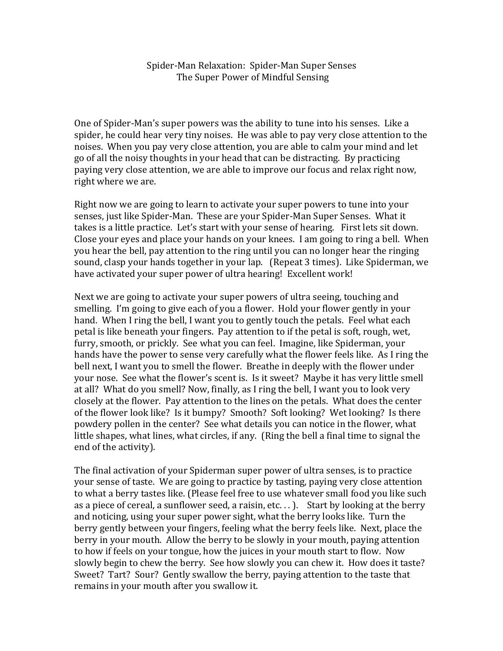Spider-Man Relaxation: Spider-Man Super Senses The Super Power of Mindful Sensing

One of Spider-Man's super powers was the ability to tune into his senses. Like a spider, he could hear very tiny noises. He was able to pay very close attention to the noises. When you pay very close attention, you are able to calm your mind and let go of all the noisy thoughts in your head that can be distracting. By practicing paying very close attention, we are able to improve our focus and relax right now, right where we are.

Right now we are going to learn to activate your super powers to tune into your senses, just like Spider-Man. These are your Spider-Man Super Senses. What it takes is a little practice. Let's start with your sense of hearing. First lets sit down. Close your eyes and place your hands on your knees. I am going to ring a bell. When you hear the bell, pay attention to the ring until you can no longer hear the ringing sound, clasp your hands together in your lap. (Repeat 3 times). Like Spiderman, we have activated your super power of ultra hearing! Excellent work!

Next we are going to activate your super powers of ultra seeing, touching and smelling. I'm going to give each of you a flower. Hold your flower gently in your hand. When I ring the bell, I want you to gently touch the petals. Feel what each petal is like beneath your fingers. Pay attention to if the petal is soft, rough, wet, furry, smooth, or prickly. See what you can feel. Imagine, like Spiderman, your hands have the power to sense very carefully what the flower feels like. As I ring the bell next, I want you to smell the flower. Breathe in deeply with the flower under your nose. See what the flower's scent is. Is it sweet? Maybe it has very little smell at all? What do you smell? Now, finally, as I ring the bell, I want you to look very closely at the flower. Pay attention to the lines on the petals. What does the center of the flower look like? Is it bumpy? Smooth? Soft looking? Wet looking? Is there powdery pollen in the center? See what details you can notice in the flower, what little shapes, what lines, what circles, if any. (Ring the bell a final time to signal the end of the activity).

The final activation of your Spiderman super power of ultra senses, is to practice your sense of taste. We are going to practice by tasting, paying very close attention to what a berry tastes like. (Please feel free to use whatever small food you like such as a piece of cereal, a sunflower seed, a raisin, etc...). Start by looking at the berry and noticing, using your super power sight, what the berry looks like. Turn the berry gently between your fingers, feeling what the berry feels like. Next, place the berry in your mouth. Allow the berry to be slowly in your mouth, paying attention to how if feels on your tongue, how the juices in your mouth start to flow. Now slowly begin to chew the berry. See how slowly you can chew it. How does it taste? Sweet? Tart? Sour? Gently swallow the berry, paying attention to the taste that remains in your mouth after you swallow it.